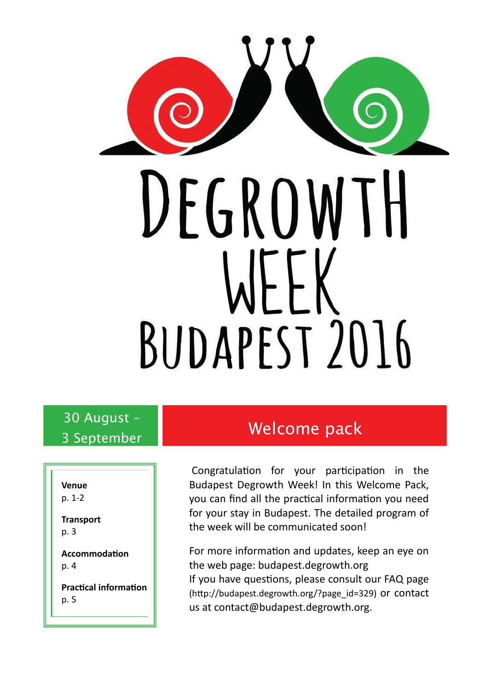

# 30 August –

**Venue** p. 1-2

**Transport** p. 3

**Accommodation** p. 4

**Practical information** p. 5

## 3 September 1 **Welcome pack**

Congratulation for your participation in the Budapest Degrowth Week! In this Welcome Pack, you can find all the practical information you need for your stay in Budapest. The detailed program of the week will be communicated soon!

For more information and updates, keep an eye on the web page: budapest.degrowth.org If you have questions, please consult our FAQ page (http://budapest.degrowth.org/?page\_id=329) or contact us at contact@budapest.degrowth.org.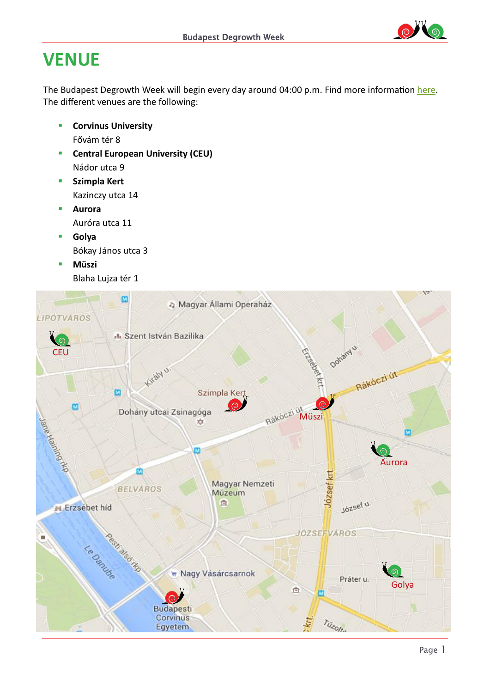

### **VENUE**

The Budapest Degrowth Week will begin every day around 04:00 p.m. Find more information [here.](http://budapest.degrowth.org/?page_id=638) The different venues are the following:

- **E** Corvinus University Fővám tér 8
- **F** Central European University (CEU) Nádor utca 9
- **Szimpla Kert** Kazinczy utca 14
- **Aurora** Auróra utca 11
- **Golya** Bókay János utca 3
- **Müszi** Blaha Lujza tér 1

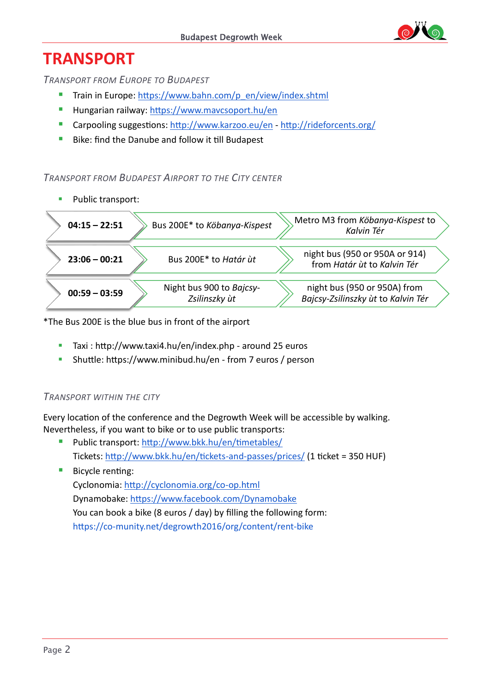### **TRANSPORT**

*TRANSPORT FROM EUROPE TO BUDAPEST*

- Train in Europe: [https://www.bahn.com/p\\_en/view/index.shtml](https://www.bahn.com/p_en/view/index.shtml)
- **Hungarian railway:<https://www.mavcsoport.hu/en>**
- Carpooling suggestions[: http://www.karzoo.eu/en](http://www.karzoo.eu/en) <http://rideforcents.org/>
- Bike: find the Danube and follow it till Budapest

#### *TRANSPORT FROM BUDAPEST AIRPORT TO THE CITY CENTER*



\*The Bus 200E is the blue bus in front of the airport

- Taxi [: http://www.taxi4.hu/en/index.php](http://www.taxi4.hu/en/index.php) around 25 euros
- Shuttle:<https://www.minibud.hu/en> from 7 euros / person

### *TRANSPORT WITHIN THE CITY*

Every location of the conference and the Degrowth Week will be accessible by walking. Nevertheless, if you want to bike or to use public transports:

- Public transport:<http://www.bkk.hu/en/timetables/> Tickets:<http://www.bkk.hu/en/tickets-and-passes/prices/> (1 ticket = 350 HUF)
- **Bicycle renting:** Cyclonomia:<http://cyclonomia.org/co-op.html> Dynamobake:<https://www.facebook.com/Dynamobake> You can book a bike (8 euros / day) by filling the following form: <https://co-munity.net/degrowth2016/org/content/rent-bike>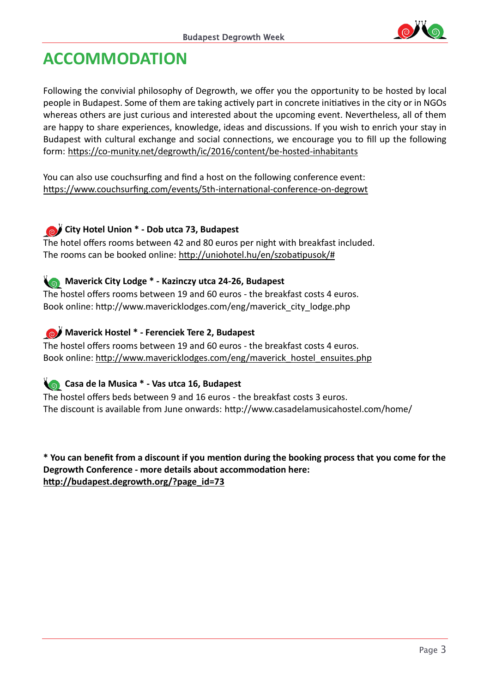

### **ACCOMMODATION**

Following the convivial philosophy of Degrowth, we offer you the opportunity to be hosted by local people in Budapest. Some of them are taking actively part in concrete initiatives in the city or in NGOs whereas others are just curious and interested about the upcoming event. Nevertheless, all of them are happy to share experiences, knowledge, ideas and discussions. If you wish to enrich your stay in Budapest with cultural exchange and social connections, we encourage you to fill up the following form: <https://co-munity.net/degrowth/ic/2016/content/be-hosted-inhabitants>

You can also use couchsurfing and find a host on the following conference event: <https://www.couchsurfing.com/events/5th-international-conference-on-degrowt>

#### **City Hotel Union \* - Dob utca 73, Budapest**

The hotel offers rooms between 42 and 80 euros per night with breakfast included. The rooms can be booked online: [http://uniohotel.hu/en/szobatipusok/#](http://uniohotel.hu/en/szobatipusok/)

### **Maverick City Lodge \* - Kazinczy utca 24-26, Budapest**

The hostel offers rooms between 19 and 60 euros - the breakfast costs 4 euros. Book online: [http://www.mavericklodges.com/eng/maverick\\_city\\_lodge.php](http://www.mavericklodges.com/eng/maverick_city_lodge.php)

#### *Maverick Hostel \* - Ferenciek Tere 2, Budapest*

The hostel offers rooms between 19 and 60 euros - the breakfast costs 4 euros. Book online: [http://www.mavericklodges.com/eng/maverick\\_hostel\\_ensuites.php](http://www.mavericklodges.com/eng/maverick_hostel_ensuites.php)

### **Casa de la Musica \* - Vas utca 16, Budapest**

The hostel offers beds between 9 and 16 euros - the breakfast costs 3 euros. The discount is available from June onwards: <http://www.casadelamusicahostel.com/home/>

**\* You can benefit from a discount if you mention during the booking process that you come for the Degrowth Conference - more details about accommodation here: [http://budapest.degrowth.org/?page\\_id=73](http://budapest.degrowth.org/?page_id=73)**